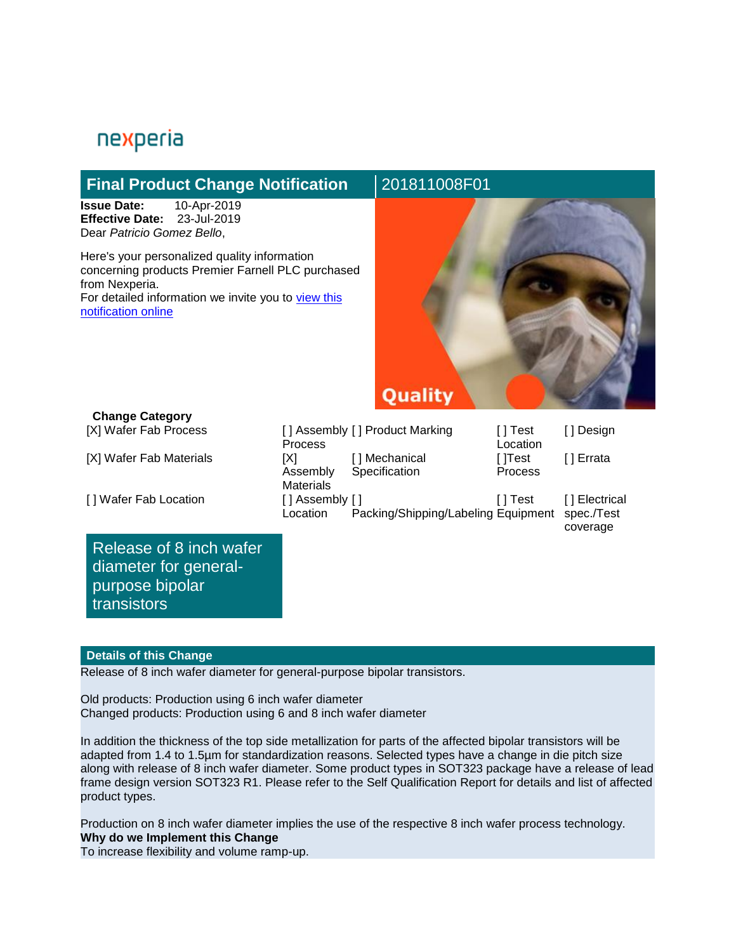# nexperia

# **Final Product Change Notification 201811008F01**

**Issue Date:** 10-Apr-2019 **Effective Date:** 23-Jul-2019 Dear *Patricio Gomez Bello*,

Here's your personalized quality information concerning products Premier Farnell PLC purchased from Nexperia. For detailed information we invite you to view this [notification online](https://extranet.nexperia.com/requestdispatcher?app=pcn&pcnId=acd624b5f1758ea7aba24ed85f86fe64) 



## **Change Category**

[X] Wafer Fab Process

[X] Wafer Fab Materials

[ ] Wafer Fab Location

Release of 8 inch wafer diameter for generalpurpose bipolar transistors

|                  | [] Assembly [] Product Marking      | [ ] Test | [ ] Design    |
|------------------|-------------------------------------|----------|---------------|
| Process          |                                     | Location |               |
| [X]              | [] Mechanical                       | [ ]Test  | [] Errata     |
| Assembly         | Specification                       | Process  |               |
| <b>Materials</b> |                                     |          |               |
| [] Assembly []   |                                     | ∐ Test   | [] Electrical |
| Location         | Packing/Shipping/Labeling Equipment |          | spec./Test    |
|                  |                                     |          | coverage      |

#### **Details of this Change**

Release of 8 inch wafer diameter for general-purpose bipolar transistors.

Old products: Production using 6 inch wafer diameter Changed products: Production using 6 and 8 inch wafer diameter

In addition the thickness of the top side metallization for parts of the affected bipolar transistors will be adapted from 1.4 to 1.5µm for standardization reasons. Selected types have a change in die pitch size along with release of 8 inch wafer diameter. Some product types in SOT323 package have a release of lead frame design version SOT323 R1. Please refer to the Self Qualification Report for details and list of affected product types.

Production on 8 inch wafer diameter implies the use of the respective 8 inch wafer process technology. **Why do we Implement this Change**

To increase flexibility and volume ramp-up.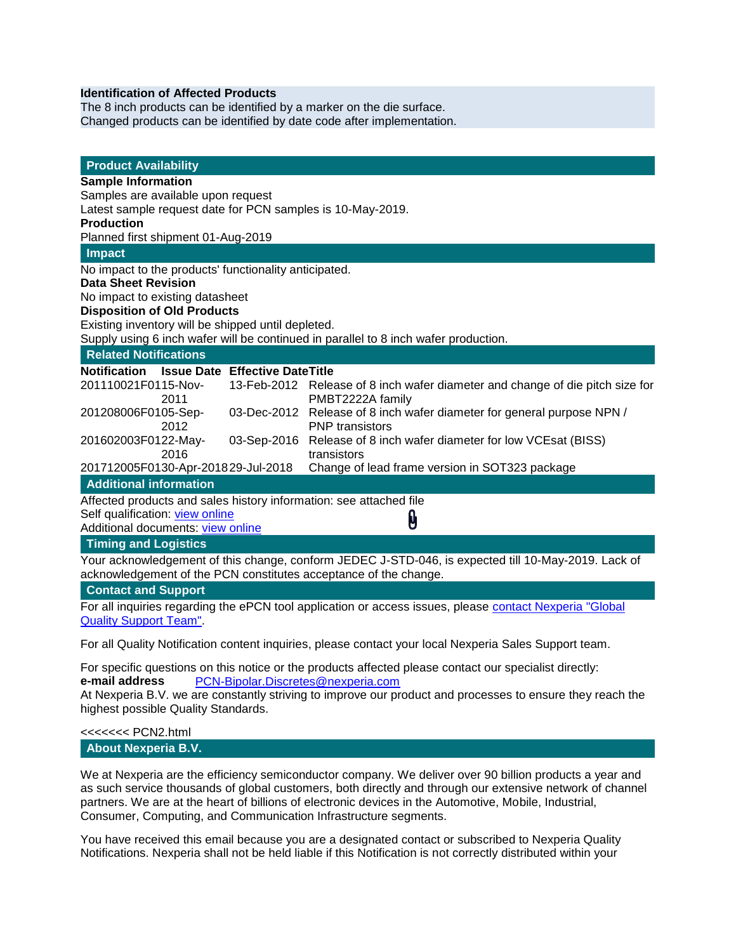#### **Identification of Affected Products**

The 8 inch products can be identified by a marker on the die surface. Changed products can be identified by date code after implementation.

| <b>Product Availability</b>                                                                         |                                                                                                   |  |  |  |
|-----------------------------------------------------------------------------------------------------|---------------------------------------------------------------------------------------------------|--|--|--|
| <b>Sample Information</b>                                                                           |                                                                                                   |  |  |  |
| Samples are available upon request                                                                  |                                                                                                   |  |  |  |
| Latest sample request date for PCN samples is 10-May-2019.                                          |                                                                                                   |  |  |  |
| <b>Production</b>                                                                                   |                                                                                                   |  |  |  |
| Planned first shipment 01-Aug-2019                                                                  |                                                                                                   |  |  |  |
| Impact                                                                                              |                                                                                                   |  |  |  |
| No impact to the products' functionality anticipated.                                               |                                                                                                   |  |  |  |
| <b>Data Sheet Revision</b>                                                                          |                                                                                                   |  |  |  |
| No impact to existing datasheet                                                                     |                                                                                                   |  |  |  |
| <b>Disposition of Old Products</b>                                                                  |                                                                                                   |  |  |  |
| Existing inventory will be shipped until depleted.                                                  |                                                                                                   |  |  |  |
| Supply using 6 inch wafer will be continued in parallel to 8 inch wafer production.                 |                                                                                                   |  |  |  |
| <b>Related Notifications</b>                                                                        |                                                                                                   |  |  |  |
| Notification Issue Date Effective Date Title                                                        |                                                                                                   |  |  |  |
| 201110021F0115-Nov-<br>2011                                                                         | 13-Feb-2012 Release of 8 inch wafer diameter and change of die pitch size for<br>PMBT2222A family |  |  |  |
| 201208006F0105-Sep-<br>2012                                                                         | 03-Dec-2012 Release of 8 inch wafer diameter for general purpose NPN /<br><b>PNP</b> transistors  |  |  |  |
| 201602003F0122-May-<br>03-Sep-2016                                                                  | Release of 8 inch wafer diameter for low VCEsat (BISS)                                            |  |  |  |
| 2016                                                                                                | transistors                                                                                       |  |  |  |
| 201712005F0130-Apr-201829-Jul-2018                                                                  | Change of lead frame version in SOT323 package                                                    |  |  |  |
| <b>Additional information</b>                                                                       |                                                                                                   |  |  |  |
| Affected products and sales history information: see attached file                                  |                                                                                                   |  |  |  |
| Self qualification: view online                                                                     |                                                                                                   |  |  |  |
| Additional documents: view online                                                                   | Ü                                                                                                 |  |  |  |
| <b>Timing and Logistics</b>                                                                         |                                                                                                   |  |  |  |
| Your acknowledgement of this change, conform JEDEC J-STD-046, is expected till 10-May-2019. Lack of |                                                                                                   |  |  |  |
| acknowledgement of the PCN constitutes acceptance of the change.                                    |                                                                                                   |  |  |  |
| <b>Contact and Support</b>                                                                          |                                                                                                   |  |  |  |
|                                                                                                     |                                                                                                   |  |  |  |

For all inquiries regarding the ePCN tool application or access issues, please contact Nexperia "Global [Quality Support Team".](https://extranet.nexperia.com/group/distinet/faq)

For all Quality Notification content inquiries, please contact your local Nexperia Sales Support team.

For specific questions on this notice or the products affected please contact our specialist directly: **e-mail address** [PCN-Bipolar.Discretes@nexperia.com](mailto:PCN-Bipolar.Discretes@nexperia.com?subject=Support)

At Nexperia B.V. we are constantly striving to improve our product and processes to ensure they reach the highest possible Quality Standards.

#### <<<<<<< PCN2.html **About Nexperia B.V.**

We at Nexperia are the efficiency semiconductor company. We deliver over 90 billion products a year and as such service thousands of global customers, both directly and through our extensive network of channel partners. We are at the heart of billions of electronic devices in the Automotive, Mobile, Industrial, Consumer, Computing, and Communication Infrastructure segments.

You have received this email because you are a designated contact or subscribed to Nexperia Quality Notifications. Nexperia shall not be held liable if this Notification is not correctly distributed within your